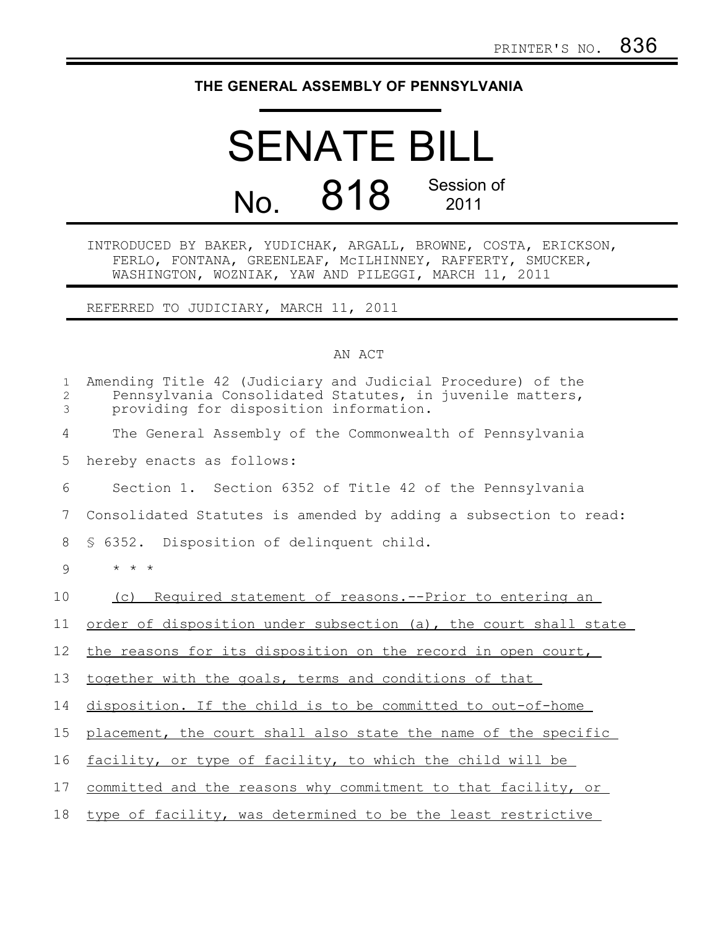## **THE GENERAL ASSEMBLY OF PENNSYLVANIA**

## SENATE BILL No. 818 Session of 2011

INTRODUCED BY BAKER, YUDICHAK, ARGALL, BROWNE, COSTA, ERICKSON, FERLO, FONTANA, GREENLEAF, McILHINNEY, RAFFERTY, SMUCKER, WASHINGTON, WOZNIAK, YAW AND PILEGGI, MARCH 11, 2011

REFERRED TO JUDICIARY, MARCH 11, 2011

## AN ACT

| $\mathbf{1}$<br>2<br>3 | Amending Title 42 (Judiciary and Judicial Procedure) of the<br>Pennsylvania Consolidated Statutes, in juvenile matters,<br>providing for disposition information. |
|------------------------|-------------------------------------------------------------------------------------------------------------------------------------------------------------------|
| 4                      | The General Assembly of the Commonwealth of Pennsylvania                                                                                                          |
| 5                      | hereby enacts as follows:                                                                                                                                         |
| 6                      | Section 1. Section 6352 of Title 42 of the Pennsylvania                                                                                                           |
| 7                      | Consolidated Statutes is amended by adding a subsection to read:                                                                                                  |
| 8                      | § 6352. Disposition of delinquent child.                                                                                                                          |
| 9                      | $\star$ $\star$ $\star$                                                                                                                                           |
| 10                     | Required statement of reasons.--Prior to entering an<br>(C)                                                                                                       |
| 11                     | order of disposition under subsection (a), the court shall state                                                                                                  |
| 12                     | the reasons for its disposition on the record in open court,                                                                                                      |
| 13                     | together with the goals, terms and conditions of that                                                                                                             |
| 14                     | disposition. If the child is to be committed to out-of-home                                                                                                       |
| 15                     | placement, the court shall also state the name of the specific                                                                                                    |
| 16                     | facility, or type of facility, to which the child will be                                                                                                         |
| 17                     | committed and the reasons why commitment to that facility, or                                                                                                     |
| 18                     | type of facility, was determined to be the least restrictive                                                                                                      |